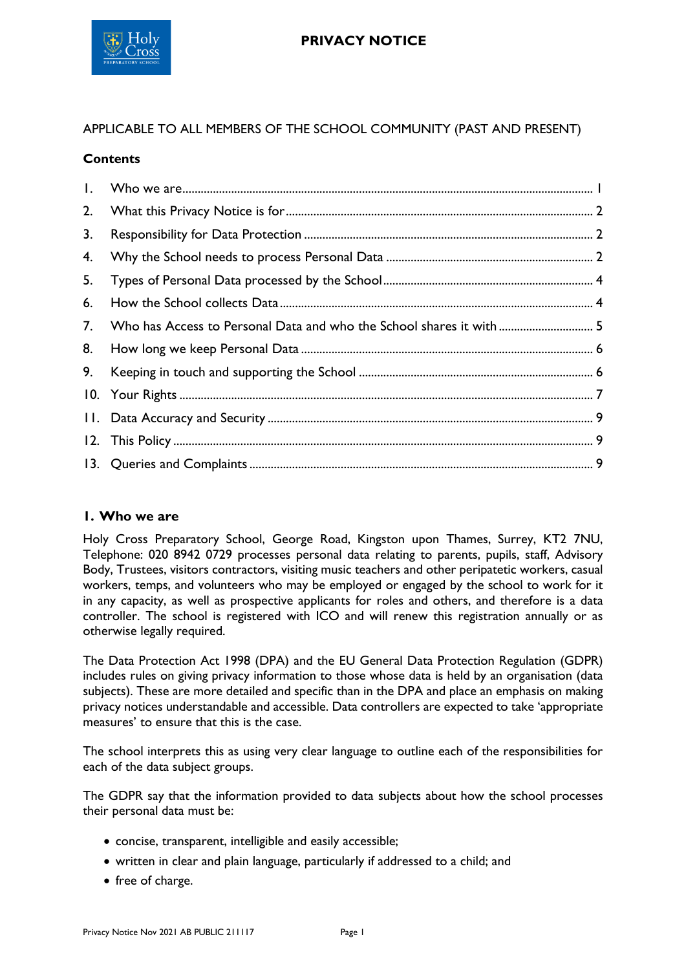

## APPLICABLE TO ALL MEMBERS OF THE SCHOOL COMMUNITY (PAST AND PRESENT)

### **Contents**

| $\mathbf{I}$ . |                                                                      |  |
|----------------|----------------------------------------------------------------------|--|
| 2.             |                                                                      |  |
| 3.             |                                                                      |  |
| 4.             |                                                                      |  |
| 5.             |                                                                      |  |
| 6.             |                                                                      |  |
| 7.             | Who has Access to Personal Data and who the School shares it with  5 |  |
| 8.             |                                                                      |  |
| 9.             |                                                                      |  |
|                |                                                                      |  |
|                |                                                                      |  |
|                |                                                                      |  |
|                |                                                                      |  |
|                |                                                                      |  |

## <span id="page-0-0"></span>**1. Who we are**

Holy Cross Preparatory School, George Road, Kingston upon Thames, Surrey, KT2 7NU, Telephone: 020 8942 0729 processes personal data relating to parents, pupils, staff, Advisory Body, Trustees, visitors contractors, visiting music teachers and other peripatetic workers, casual workers, temps, and volunteers who may be employed or engaged by the school to work for it in any capacity, as well as prospective applicants for roles and others, and therefore is a data controller. The school is registered with ICO and will renew this registration annually or as otherwise legally required.

The Data Protection Act 1998 (DPA) and the EU General Data Protection Regulation (GDPR) includes rules on giving privacy information to those whose data is held by an organisation (data subjects). These are more detailed and specific than in the DPA and place an emphasis on making privacy notices understandable and accessible. Data controllers are expected to take 'appropriate measures' to ensure that this is the case.

The school interprets this as using very clear language to outline each of the responsibilities for each of the data subject groups.

The GDPR say that the information provided to data subjects about how the school processes their personal data must be:

- concise, transparent, intelligible and easily accessible;
- written in clear and plain language, particularly if addressed to a child; and
- free of charge.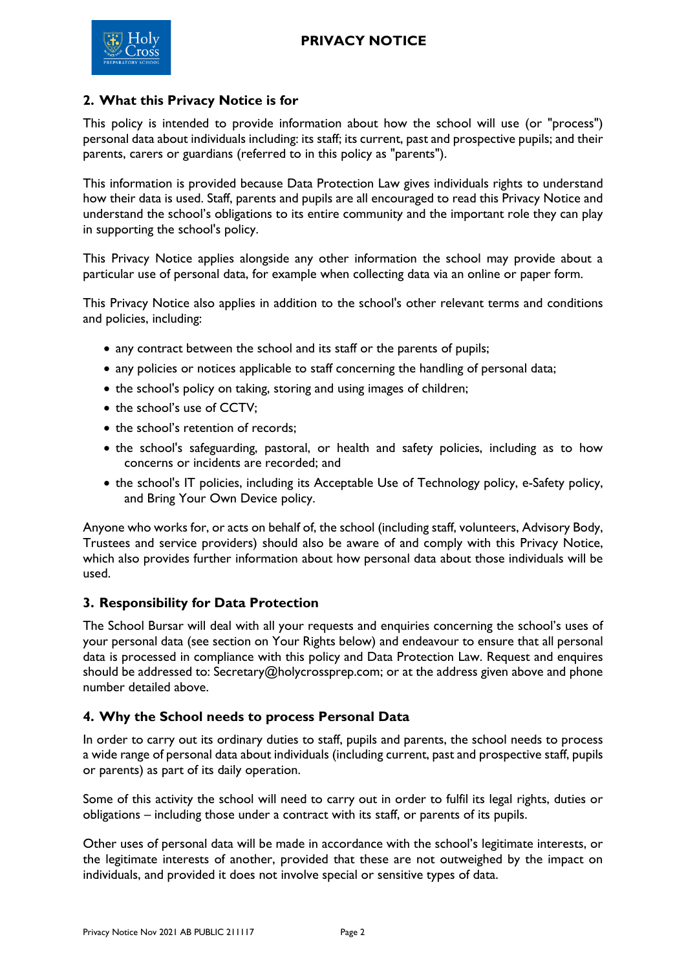

## <span id="page-1-0"></span>**2. What this Privacy Notice is for**

This policy is intended to provide information about how the school will use (or "process") personal data about individuals including: its staff; its current, past and prospective pupils; and their parents, carers or guardians (referred to in this policy as "parents").

This information is provided because Data Protection Law gives individuals rights to understand how their data is used. Staff, parents and pupils are all encouraged to read this Privacy Notice and understand the school's obligations to its entire community and the important role they can play in supporting the school's policy.

This Privacy Notice applies alongside any other information the school may provide about a particular use of personal data, for example when collecting data via an online or paper form.

This Privacy Notice also applies in addition to the school's other relevant terms and conditions and policies, including:

- any contract between the school and its staff or the parents of pupils;
- any policies or notices applicable to staff concerning the handling of personal data;
- the school's policy on taking, storing and using images of children;
- the school's use of CCTV:
- the school's retention of records:
- the school's safeguarding, pastoral, or health and safety policies, including as to how concerns or incidents are recorded; and
- the school's IT policies, including its Acceptable Use of Technology policy, e-Safety policy, and Bring Your Own Device policy.

Anyone who works for, or acts on behalf of, the school (including staff, volunteers, Advisory Body, Trustees and service providers) should also be aware of and comply with this Privacy Notice, which also provides further information about how personal data about those individuals will be used.

## <span id="page-1-1"></span>**3. Responsibility for Data Protection**

The School Bursar will deal with all your requests and enquiries concerning the school's uses of your personal data (see section on Your Rights below) and endeavour to ensure that all personal data is processed in compliance with this policy and Data Protection Law. Request and enquires should be addressed to: Secretary@holycrossprep.com; or at the address given above and phone number detailed above.

## <span id="page-1-2"></span>**4. Why the School needs to process Personal Data**

In order to carry out its ordinary duties to staff, pupils and parents, the school needs to process a wide range of personal data about individuals (including current, past and prospective staff, pupils or parents) as part of its daily operation.

Some of this activity the school will need to carry out in order to fulfil its legal rights, duties or obligations – including those under a contract with its staff, or parents of its pupils.

Other uses of personal data will be made in accordance with the school's legitimate interests, or the legitimate interests of another, provided that these are not outweighed by the impact on individuals, and provided it does not involve special or sensitive types of data.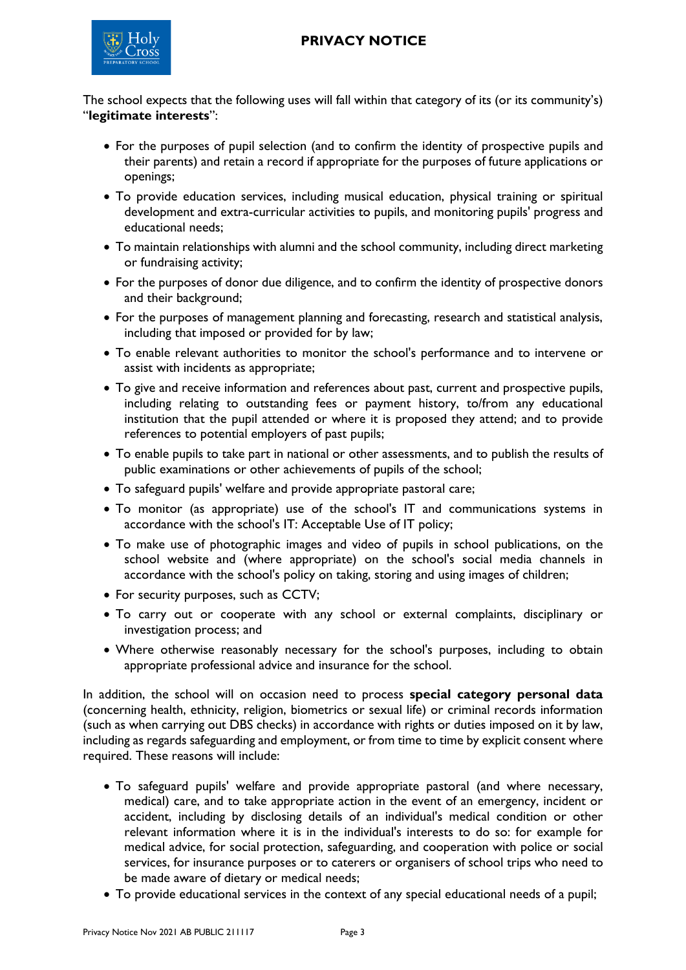

The school expects that the following uses will fall within that category of its (or its community's) "**legitimate interests**":

- For the purposes of pupil selection (and to confirm the identity of prospective pupils and their parents) and retain a record if appropriate for the purposes of future applications or openings;
- To provide education services, including musical education, physical training or spiritual development and extra-curricular activities to pupils, and monitoring pupils' progress and educational needs;
- To maintain relationships with alumni and the school community, including direct marketing or fundraising activity;
- For the purposes of donor due diligence, and to confirm the identity of prospective donors and their background;
- For the purposes of management planning and forecasting, research and statistical analysis, including that imposed or provided for by law;
- To enable relevant authorities to monitor the school's performance and to intervene or assist with incidents as appropriate;
- To give and receive information and references about past, current and prospective pupils, including relating to outstanding fees or payment history, to/from any educational institution that the pupil attended or where it is proposed they attend; and to provide references to potential employers of past pupils;
- To enable pupils to take part in national or other assessments, and to publish the results of public examinations or other achievements of pupils of the school;
- To safeguard pupils' welfare and provide appropriate pastoral care;
- To monitor (as appropriate) use of the school's IT and communications systems in accordance with the school's IT: Acceptable Use of IT policy;
- To make use of photographic images and video of pupils in school publications, on the school website and (where appropriate) on the school's social media channels in accordance with the school's policy on taking, storing and using images of children;
- For security purposes, such as CCTV;
- To carry out or cooperate with any school or external complaints, disciplinary or investigation process; and
- Where otherwise reasonably necessary for the school's purposes, including to obtain appropriate professional advice and insurance for the school.

In addition, the school will on occasion need to process **special category personal data** (concerning health, ethnicity, religion, biometrics or sexual life) or criminal records information (such as when carrying out DBS checks) in accordance with rights or duties imposed on it by law, including as regards safeguarding and employment, or from time to time by explicit consent where required. These reasons will include:

- To safeguard pupils' welfare and provide appropriate pastoral (and where necessary, medical) care, and to take appropriate action in the event of an emergency, incident or accident, including by disclosing details of an individual's medical condition or other relevant information where it is in the individual's interests to do so: for example for medical advice, for social protection, safeguarding, and cooperation with police or social services, for insurance purposes or to caterers or organisers of school trips who need to be made aware of dietary or medical needs;
- To provide educational services in the context of any special educational needs of a pupil;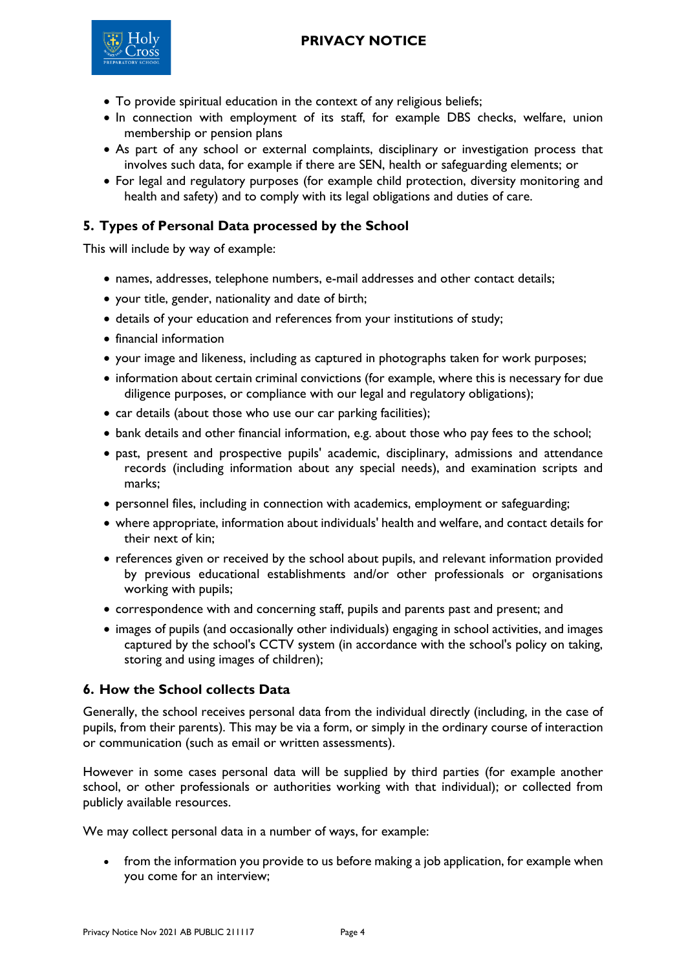

- To provide spiritual education in the context of any religious beliefs;
- In connection with employment of its staff, for example DBS checks, welfare, union membership or pension plans
- As part of any school or external complaints, disciplinary or investigation process that involves such data, for example if there are SEN, health or safeguarding elements; or
- For legal and regulatory purposes (for example child protection, diversity monitoring and health and safety) and to comply with its legal obligations and duties of care.

# <span id="page-3-0"></span>**5. Types of Personal Data processed by the School**

This will include by way of example:

- names, addresses, telephone numbers, e-mail addresses and other contact details;
- your title, gender, nationality and date of birth;
- details of your education and references from your institutions of study;
- financial information
- your image and likeness, including as captured in photographs taken for work purposes;
- information about certain criminal convictions (for example, where this is necessary for due diligence purposes, or compliance with our legal and regulatory obligations);
- car details (about those who use our car parking facilities);
- bank details and other financial information, e.g. about those who pay fees to the school;
- past, present and prospective pupils' academic, disciplinary, admissions and attendance records (including information about any special needs), and examination scripts and marks;
- personnel files, including in connection with academics, employment or safeguarding;
- where appropriate, information about individuals' health and welfare, and contact details for their next of kin;
- references given or received by the school about pupils, and relevant information provided by previous educational establishments and/or other professionals or organisations working with pupils;
- correspondence with and concerning staff, pupils and parents past and present; and
- images of pupils (and occasionally other individuals) engaging in school activities, and images captured by the school's CCTV system (in accordance with the school's policy on taking, storing and using images of children);

## <span id="page-3-1"></span>**6. How the School collects Data**

Generally, the school receives personal data from the individual directly (including, in the case of pupils, from their parents). This may be via a form, or simply in the ordinary course of interaction or communication (such as email or written assessments).

However in some cases personal data will be supplied by third parties (for example another school, or other professionals or authorities working with that individual); or collected from publicly available resources.

We may collect personal data in a number of ways, for example:

• from the information you provide to us before making a job application, for example when you come for an interview;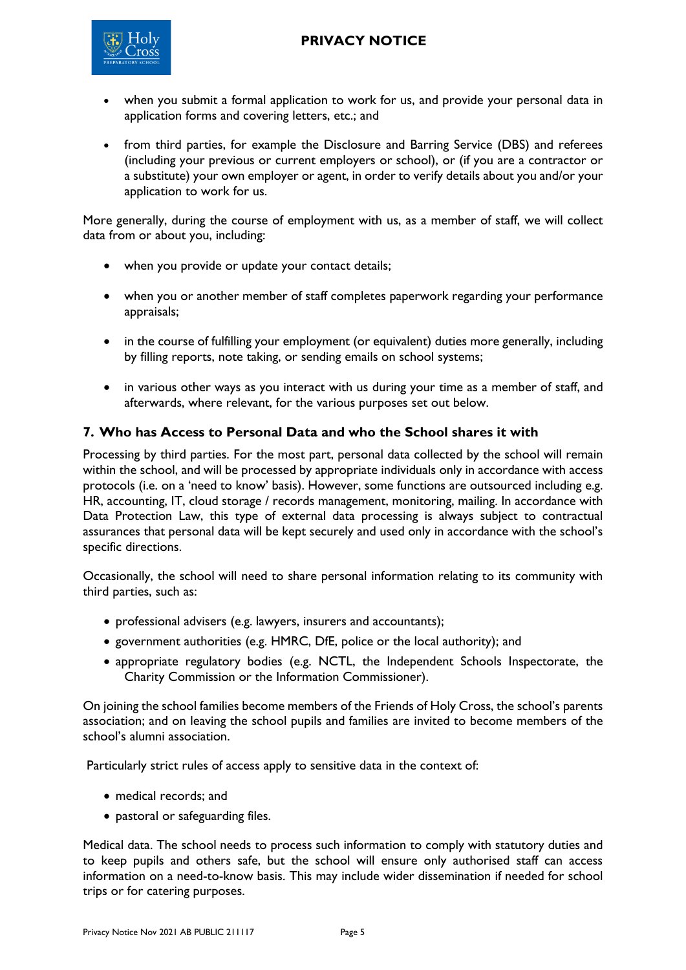

- when you submit a formal application to work for us, and provide your personal data in application forms and covering letters, etc.; and
- from third parties, for example the Disclosure and Barring Service (DBS) and referees (including your previous or current employers or school), or (if you are a contractor or a substitute) your own employer or agent, in order to verify details about you and/or your application to work for us.

More generally, during the course of employment with us, as a member of staff, we will collect data from or about you, including:

- when you provide or update your contact details;
- when you or another member of staff completes paperwork regarding your performance appraisals;
- in the course of fulfilling your employment (or equivalent) duties more generally, including by filling reports, note taking, or sending emails on school systems;
- in various other ways as you interact with us during your time as a member of staff, and afterwards, where relevant, for the various purposes set out below.

## <span id="page-4-0"></span>**7. Who has Access to Personal Data and who the School shares it with**

Processing by third parties. For the most part, personal data collected by the school will remain within the school, and will be processed by appropriate individuals only in accordance with access protocols (i.e. on a 'need to know' basis). However, some functions are outsourced including e.g. HR, accounting, IT, cloud storage / records management, monitoring, mailing. In accordance with Data Protection Law, this type of external data processing is always subject to contractual assurances that personal data will be kept securely and used only in accordance with the school's specific directions.

Occasionally, the school will need to share personal information relating to its community with third parties, such as:

- professional advisers (e.g. lawyers, insurers and accountants);
- government authorities (e.g. HMRC, DfE, police or the local authority); and
- appropriate regulatory bodies (e.g. [NCTL,](https://www.gov.uk/government/organisations/national-college-for-teaching-and-leadership) the [Independent Schools Inspectorate,](https://www.isi.net/) the Charity Commission or the Information Commissioner).

On joining the school families become members of the Friends of Holy Cross, the school's parents association; and on leaving the school pupils and families are invited to become members of the school's alumni association.

Particularly strict rules of access apply to sensitive data in the context of:

- medical records; and
- pastoral or safeguarding files.

Medical data. The school needs to process such information to comply with statutory duties and to keep pupils and others safe, but the school will ensure only authorised staff can access information on a need-to-know basis. This may include wider dissemination if needed for school trips or for catering purposes.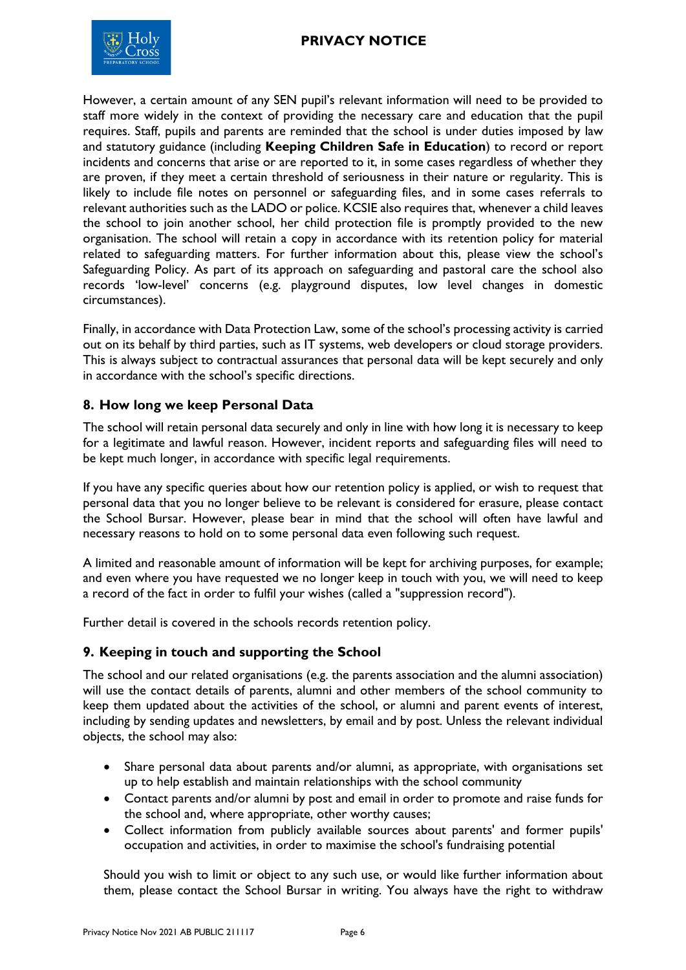



However, a certain amount of any SEN pupil's relevant information will need to be provided to staff more widely in the context of providing the necessary care and education that the pupil requires. Staff, pupils and parents are reminded that the school is under duties imposed by law and statutory guidance (including **Keeping Children Safe in Education**) to record or report incidents and concerns that arise or are reported to it, in some cases regardless of whether they are proven, if they meet a certain threshold of seriousness in their nature or regularity. This is likely to include file notes on personnel or safeguarding files, and in some cases referrals to relevant authorities such as the LADO or police. KCSIE also requires that, whenever a child leaves the school to join another school, her child protection file is promptly provided to the new organisation. The school will retain a copy in accordance with its retention policy for material related to safeguarding matters. For further information about this, please view the school's Safeguarding Policy. As part of its approach on safeguarding and pastoral care the school also records 'low-level' concerns (e.g. playground disputes, low level changes in domestic circumstances).

Finally, in accordance with Data Protection Law, some of the school's processing activity is carried out on its behalf by third parties, such as IT systems, web developers or cloud storage providers. This is always subject to contractual assurances that personal data will be kept securely and only in accordance with the school's specific directions.

### <span id="page-5-0"></span>**8. How long we keep Personal Data**

The school will retain personal data securely and only in line with how long it is necessary to keep for a legitimate and lawful reason. However, incident reports and safeguarding files will need to be kept much longer, in accordance with specific legal requirements.

If you have any specific queries about how our retention policy is applied, or wish to request that personal data that you no longer believe to be relevant is considered for erasure, please contact the School Bursar. However, please bear in mind that the school will often have lawful and necessary reasons to hold on to some personal data even following such request.

A limited and reasonable amount of information will be kept for archiving purposes, for example; and even where you have requested we no longer keep in touch with you, we will need to keep a record of the fact in order to fulfil your wishes (called a "suppression record").

Further detail is covered in the schools records retention policy.

### <span id="page-5-1"></span>**9. Keeping in touch and supporting the School**

The school and our related organisations (e.g. the parents association and the alumni association) will use the contact details of parents, alumni and other members of the school community to keep them updated about the activities of the school, or alumni and parent events of interest, including by sending updates and newsletters, by email and by post. Unless the relevant individual objects, the school may also:

- Share personal data about parents and/or alumni, as appropriate, with organisations set up to help establish and maintain relationships with the school community
- Contact parents and/or alumni by post and email in order to promote and raise funds for the school and, where appropriate, other worthy causes;
- Collect information from publicly available sources about parents' and former pupils' occupation and activities, in order to maximise the school's fundraising potential

Should you wish to limit or object to any such use, or would like further information about them, please contact the School Bursar in writing. You always have the right to withdraw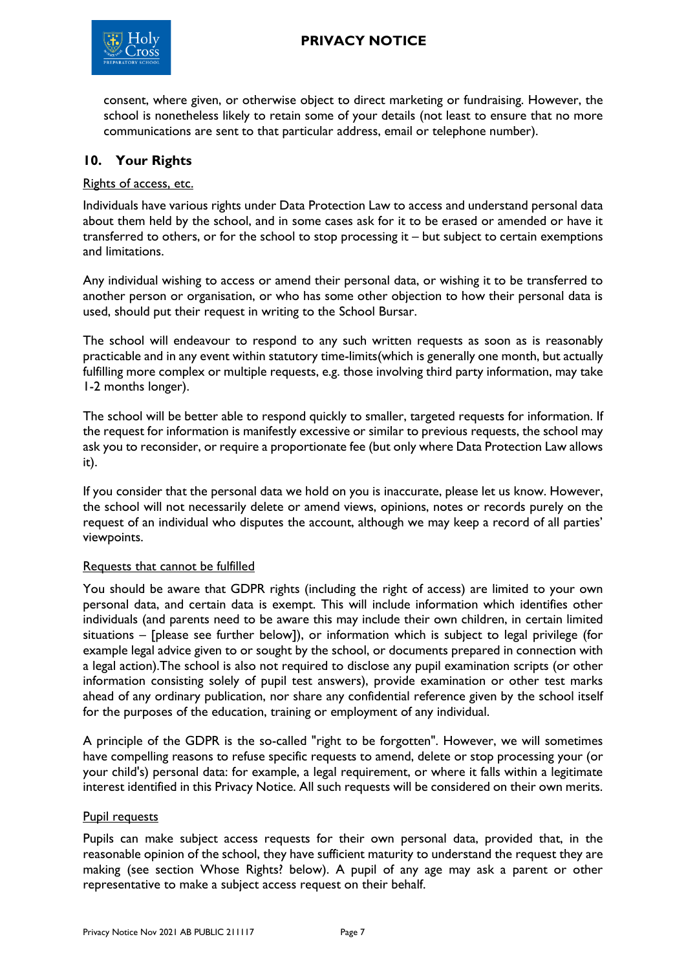

consent, where given, or otherwise object to direct marketing or fundraising. However, the school is nonetheless likely to retain some of your details (not least to ensure that no more communications are sent to that particular address, email or telephone number).

## <span id="page-6-0"></span>**10. Your Rights**

#### Rights of access, etc.

Individuals have various rights under Data Protection Law to access and understand personal data about them held by the school, and in some cases ask for it to be erased or amended or have it transferred to others, or for the school to stop processing it – but subject to certain exemptions and limitations.

Any individual wishing to access or amend their personal data, or wishing it to be transferred to another person or organisation, or who has some other objection to how their personal data is used, should put their request in writing to the School Bursar.

The school will endeavour to respond to any such written requests as soon as is reasonably practicable and in any event within statutory time-limits(which is generally one month, but actually fulfilling more complex or multiple requests, e.g. those involving third party information, may take 1-2 months longer).

The school will be better able to respond quickly to smaller, targeted requests for information. If the request for information is manifestly excessive or similar to previous requests, the school may ask you to reconsider, or require a proportionate fee (but only where Data Protection Law allows it).

If you consider that the personal data we hold on you is inaccurate, please let us know. However, the school will not necessarily delete or amend views, opinions, notes or records purely on the request of an individual who disputes the account, although we may keep a record of all parties' viewpoints.

#### Requests that cannot be fulfilled

You should be aware that GDPR rights (including the right of access) are limited to your own personal data, and certain data is exempt. This will include information which identifies other individuals (and parents need to be aware this may include their own children, in certain limited situations – [please see further below]), or information which is subject to legal privilege (for example legal advice given to or sought by the school, or documents prepared in connection with a legal action).The school is also not required to disclose any pupil examination scripts (or other information consisting solely of pupil test answers), provide examination or other test marks ahead of any ordinary publication, nor share any confidential reference given by the school itself for the purposes of the education, training or employment of any individual.

A principle of the GDPR is the so-called "right to be forgotten". However, we will sometimes have compelling reasons to refuse specific requests to amend, delete or stop processing your (or your child's) personal data: for example, a legal requirement, or where it falls within a legitimate interest identified in this Privacy Notice. All such requests will be considered on their own merits.

#### Pupil requests

Pupils can make subject access requests for their own personal data, provided that, in the reasonable opinion of the school, they have sufficient maturity to understand the request they are making (see section Whose Rights? below). A pupil of any age may ask a parent or other representative to make a subject access request on their behalf.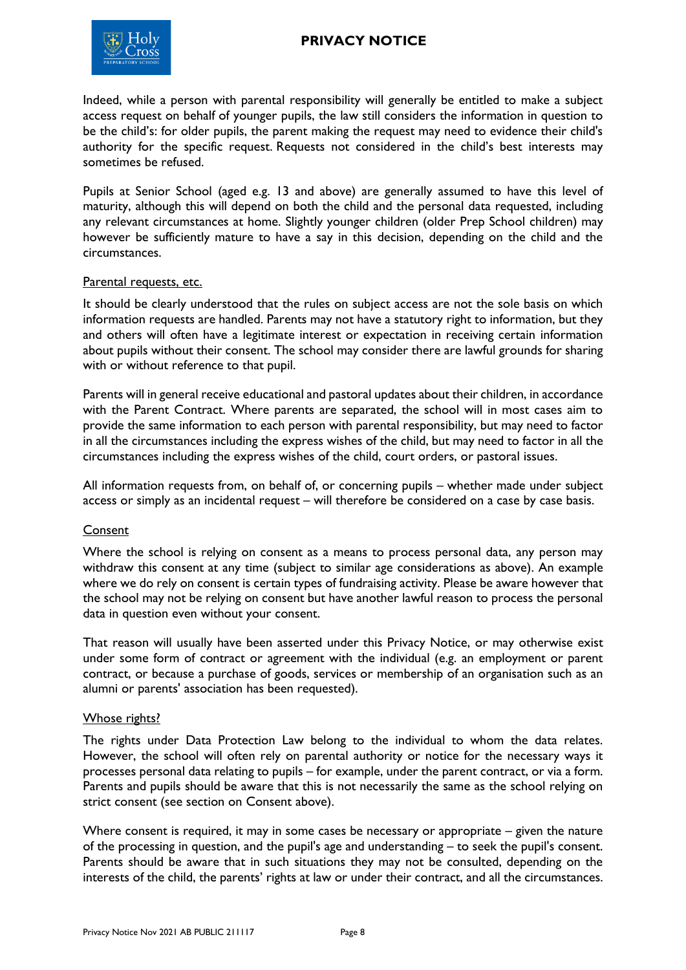

Indeed, while a person with parental responsibility will generally be entitled to make a subject access request on behalf of younger pupils, the law still considers the information in question to be the child's: for older pupils, the parent making the request may need to evidence their child's authority for the specific request. Requests not considered in the child's best interests may sometimes be refused.

Pupils at Senior School (aged e.g. 13 and above) are generally assumed to have this level of maturity, although this will depend on both the child and the personal data requested, including any relevant circumstances at home. Slightly younger children (older Prep School children) may however be sufficiently mature to have a say in this decision, depending on the child and the circumstances.

#### Parental requests, etc.

It should be clearly understood that the rules on subject access are not the sole basis on which information requests are handled. Parents may not have a statutory right to information, but they and others will often have a legitimate interest or expectation in receiving certain information about pupils without their consent. The school may consider there are lawful grounds for sharing with or without reference to that pupil.

Parents will in general receive educational and pastoral updates about their children, in accordance with the Parent Contract. Where parents are separated, the school will in most cases aim to provide the same information to each person with parental responsibility, but may need to factor in all the circumstances including the express wishes of the child, but may need to factor in all the circumstances including the express wishes of the child, court orders, or pastoral issues.

All information requests from, on behalf of, or concerning pupils – whether made under subject access or simply as an incidental request – will therefore be considered on a case by case basis.

### Consent

Where the school is relying on consent as a means to process personal data, any person may withdraw this consent at any time (subject to similar age considerations as above). An example where we do rely on consent is certain types of fundraising activity. Please be aware however that the school may not be relying on consent but have another lawful reason to process the personal data in question even without your consent.

That reason will usually have been asserted under this Privacy Notice, or may otherwise exist under some form of contract or agreement with the individual (e.g. an employment or parent contract, or because a purchase of goods, services or membership of an organisation such as an alumni or parents' association has been requested).

#### Whose rights?

The rights under Data Protection Law belong to the individual to whom the data relates. However, the school will often rely on parental authority or notice for the necessary ways it processes personal data relating to pupils – for example, under the parent contract, or via a form. Parents and pupils should be aware that this is not necessarily the same as the school relying on strict consent (see section on Consent above).

Where consent is required, it may in some cases be necessary or appropriate – given the nature of the processing in question, and the pupil's age and understanding – to seek the pupil's consent. Parents should be aware that in such situations they may not be consulted, depending on the interests of the child, the parents' rights at law or under their contract, and all the circumstances.